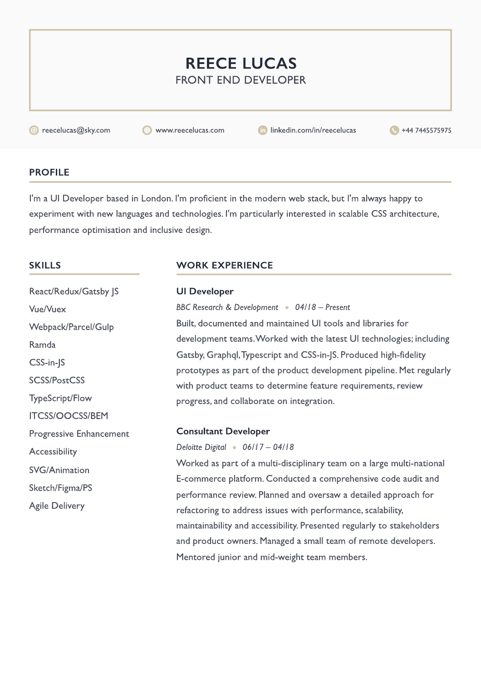# REECE LUCAS Front end developer

**@** reecelucas@sky.com www.reecelucas.com in linkedin.com/in/reecelucas +44 7445575975

# **PROFILE**

I'm a UI Developer based in London. I'm proficient in the modern web stack, but I'm always happy to experiment with new languages and technologies. I'm particularly interested in scalable CSS architecture, performance optimisation and inclusive design.

# **SKILLS**

React/Redux/Gatsby JS Vue/Vuex Webpack/Parcel/Gulp Ramda CSS-in-JS SCSS/PostCSS TypeScript/Flow ITCSS/OOCSS/BEM Progressive Enhancement **Accessibility** SVG/Animation Sketch/Figma/PS Agile Delivery

# WORK EXPERIENCE

UI Developer BBC Research & Development  $\bullet$  04/18 – Present Built, documented and maintained UI tools and libraries for development teams. Worked with the latest UI technologies; including Gatsby, Graphql, Typescript and CSS-in-JS. Produced high-fidelity prototypes as part of the product development pipeline. Met regularly with product teams to determine feature requirements, review progress, and collaborate on integration.

### Consultant Developer

Deloitte Digital  $\cdot$  06/17 – 04/18

Worked as part of a multi-disciplinary team on a large multi-national E-commerce platform. Conducted a comprehensive code audit and performance review. Planned and oversaw a detailed approach for refactoring to address issues with performance, scalability, maintainability and accessibility. Presented regularly to stakeholders and product owners. Managed a small team of remote developers. Mentored junior and mid-weight team members.